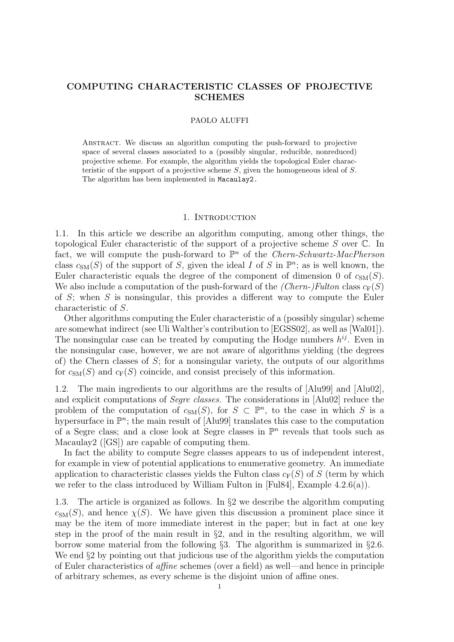# COMPUTING CHARACTERISTIC CLASSES OF PROJECTIVE SCHEMES

### PAOLO ALUFFI

Abstract. We discuss an algorithm computing the push-forward to projective space of several classes associated to a (possibly singular, reducible, nonreduced) projective scheme. For example, the algorithm yields the topological Euler characteristic of the support of a projective scheme S, given the homogeneous ideal of S. The algorithm has been implemented in Macaulay2.

### 1. INTRODUCTION

1.1. In this article we describe an algorithm computing, among other things, the topological Euler characteristic of the support of a projective scheme S over C. In fact, we will compute the push-forward to  $\mathbb{P}^n$  of the *Chern-Schwartz-MacPherson* class  $c_{SM}(S)$  of the support of S, given the ideal I of S in  $\mathbb{P}^n$ ; as is well known, the Euler characteristic equals the degree of the component of dimension 0 of  $c_{SM}(S)$ . We also include a computation of the push-forward of the *(Chern-)Fulton* class  $c_F(S)$ of  $S$ ; when  $S$  is nonsingular, this provides a different way to compute the Euler characteristic of S.

Other algorithms computing the Euler characteristic of a (possibly singular) scheme are somewhat indirect (see Uli Walther's contribution to [EGSS02], as well as [Wal01]). The nonsingular case can be treated by computing the Hodge numbers  $h^{ij}$ . Even in the nonsingular case, however, we are not aware of algorithms yielding (the degrees of) the Chern classes of S; for a nonsingular variety, the outputs of our algorithms for  $c_{\text{SM}}(S)$  and  $c_{\text{F}}(S)$  coincide, and consist precisely of this information.

1.2. The main ingredients to our algorithms are the results of [Alu99] and [Alu02], and explicit computations of Segre classes. The considerations in [Alu02] reduce the problem of the computation of  $c_{SM}(S)$ , for  $S \subset \mathbb{P}^n$ , to the case in which S is a hypersurface in  $\mathbb{P}^n$ ; the main result of [Alu99] translates this case to the computation of a Segre class; and a close look at Segre classes in  $\mathbb{P}^n$  reveals that tools such as Macaulay2 ([GS]) are capable of computing them.

In fact the ability to compute Segre classes appears to us of independent interest, for example in view of potential applications to enumerative geometry. An immediate application to characteristic classes yields the Fulton class  $c_F(S)$  of S (term by which we refer to the class introduced by William Fulton in [Ful84], Example 4.2.6(a)).

1.3. The article is organized as follows. In §2 we describe the algorithm computing  $c<sub>SM</sub>(S)$ , and hence  $\chi(S)$ . We have given this discussion a prominent place since it may be the item of more immediate interest in the paper; but in fact at one key step in the proof of the main result in  $\S$ 2, and in the resulting algorithm, we will borrow some material from the following §3. The algorithm is summarized in §2.6. We end  $\S2$  by pointing out that judicious use of the algorithm yields the computation of Euler characteristics of affine schemes (over a field) as well—and hence in principle of arbitrary schemes, as every scheme is the disjoint union of affine ones.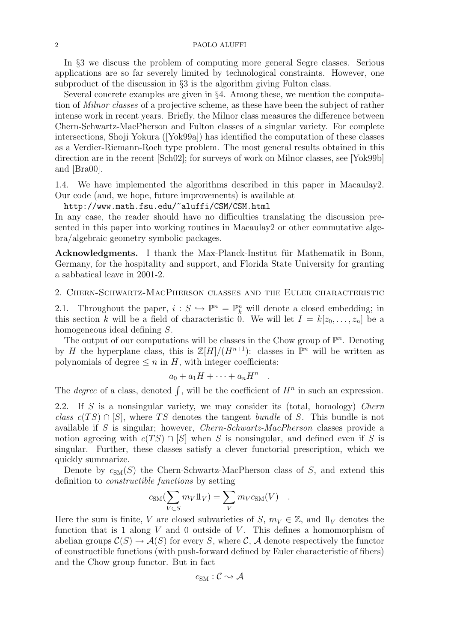#### 2 PAOLO ALUFFI

In §3 we discuss the problem of computing more general Segre classes. Serious applications are so far severely limited by technological constraints. However, one subproduct of the discussion in §3 is the algorithm giving Fulton class.

Several concrete examples are given in §4. Among these, we mention the computation of Milnor classes of a projective scheme, as these have been the subject of rather intense work in recent years. Briefly, the Milnor class measures the difference between Chern-Schwartz-MacPherson and Fulton classes of a singular variety. For complete intersections, Shoji Yokura ([Yok99a]) has identified the computation of these classes as a Verdier-Riemann-Roch type problem. The most general results obtained in this direction are in the recent [Sch02]; for surveys of work on Milnor classes, see [Yok99b] and [Bra00].

1.4. We have implemented the algorithms described in this paper in Macaulay2. Our code (and, we hope, future improvements) is available at

http://www.math.fsu.edu/~aluffi/CSM/CSM.html

In any case, the reader should have no difficulties translating the discussion presented in this paper into working routines in Macaulay2 or other commutative algebra/algebraic geometry symbolic packages.

Acknowledgments. I thank the Max-Planck-Institut für Mathematik in Bonn, Germany, for the hospitality and support, and Florida State University for granting a sabbatical leave in 2001-2.

### 2. Chern-Schwartz-MacPherson classes and the Euler characteristic

2.1. Throughout the paper,  $i : S \hookrightarrow \mathbb{P}^n = \mathbb{P}^n_k$  will denote a closed embedding; in this section k will be a field of characteristic 0. We will let  $I = k[z_0, \ldots, z_n]$  be a homogeneous ideal defining S.

The output of our computations will be classes in the Chow group of  $\mathbb{P}^n$ . Denoting by H the hyperplane class, this is  $\mathbb{Z}[H]/(H^{n+1})$ : classes in  $\mathbb{P}^n$  will be written as polynomials of degree  $\leq n$  in H, with integer coefficients:

$$
a_0 + a_1H + \cdots + a_nH^n
$$

.

The *degree* of a class, denoted  $\int$ , will be the coefficient of  $H^n$  in such an expression.

2.2. If S is a nonsingular variety, we may consider its (total, homology) Chern class  $c(TS) \cap [S]$ , where TS denotes the tangent bundle of S. This bundle is not available if S is singular; however, Chern-Schwartz-MacPherson classes provide a notion agreeing with  $c(TS) \cap [S]$  when S is nonsingular, and defined even if S is singular. Further, these classes satisfy a clever functorial prescription, which we quickly summarize.

Denote by  $c_{\text{SM}}(S)$  the Chern-Schwartz-MacPherson class of S, and extend this definition to constructible functions by setting

$$
c_{\rm SM}(\sum_{V \subset S} m_V 1\!\!1_V) = \sum_V m_V c_{\rm SM}(V) .
$$

Here the sum is finite, V are closed subvarieties of S,  $m_V \in \mathbb{Z}$ , and  $\mathbb{1}_V$  denotes the function that is 1 along  $V$  and 0 outside of  $V$ . This defines a homomorphism of abelian groups  $\mathcal{C}(S) \to \mathcal{A}(S)$  for every S, where C, A denote respectively the functor of constructible functions (with push-forward defined by Euler characteristic of fibers) and the Chow group functor. But in fact

$$
c_{\rm SM}:\mathcal{C}\leadsto\mathcal{A}
$$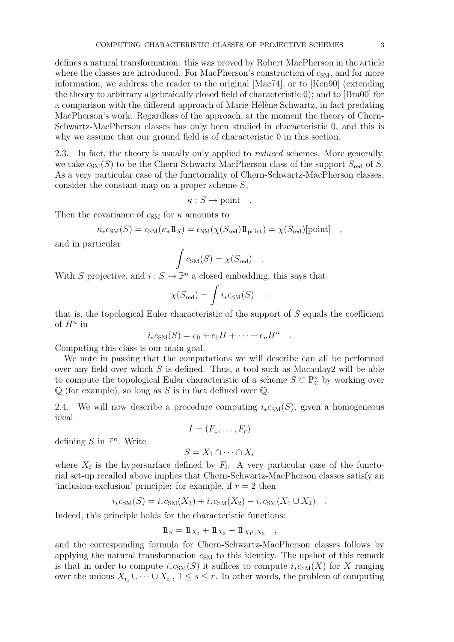defines a natural transformation: this was proved by Robert MacPherson in the article where the classes are introduced. For MacPherson's construction of  $c_{SM}$ , and for more information, we address the reader to the original [Mac74], or to [Ken90] (extending the theory to arbitrary algebraically closed field of characteristic 0); and to [Bra00] for a comparison with the different approach of Marie-Hélène Schwartz, in fact predating MacPherson's work. Regardless of the approach, at the moment the theory of Chern-Schwartz-MacPherson classes has only been studied in characteristic 0, and this is why we assume that our ground field is of characteristic 0 in this section.

2.3. In fact, the theory is usually only applied to *reduced* schemes. More generally, we take  $c_{SM}(S)$  to be the Chern-Schwartz-MacPherson class of the support  $S_{red}$  of S. As a very particular case of the functoriality of Chern-Schwartz-MacPherson classes, consider the constant map on a proper scheme S,

 $\kappa : S \longrightarrow \text{point}$ .

Then the covariance of  $c_{\text{SM}}$  for  $\kappa$  amounts to

$$
\kappa_* c_{\rm SM}(S) = c_{\rm SM}(\kappa_* 1 \, \text{I}_S) = c_{\rm SM}(\chi(S_{\rm red}) 1 \, \text{point}) = \chi(S_{\rm red}) [\text{point}] \quad ,
$$

and in particular

$$
\int c_{\rm SM}(S) = \chi(S_{\rm red}) .
$$

With S projective, and  $i : S \to \mathbb{P}^n$  a closed embedding, this says that

$$
\chi(S_{\text{red}}) = \int i_* c_{\text{SM}}(S) \quad :
$$

that is, the topological Euler characteristic of the support of  $S$  equals the coefficient of  $H^n$  in

$$
i_*c_{\text{SM}}(S) = c_0 + c_1H + \dots + c_nH^n
$$

.

Computing this class is our main goal.

We note in passing that the computations we will describe can all be performed over any field over which  $S$  is defined. Thus, a tool such as Macaulay2 will be able to compute the topological Euler characteristic of a scheme  $S \subset \mathbb{P}_{\mathbb{C}}^n$  by working over  $\mathbb Q$  (for example), so long as S is in fact defined over  $\mathbb Q$ .

2.4. We will now describe a procedure computing  $i_*c_{SM}(S)$ , given a homogeneous ideal

$$
I=(F_1,\ldots,F_r)
$$

defining  $S$  in  $\mathbb{P}^n$ . Write

$$
S = X_1 \cap \dots \cap X_r
$$

where  $X_i$  is the hypersurface defined by  $F_i$ . A very particular case of the functorial set-up recalled above implies that Chern-Schwartz-MacPherson classes satisfy an 'inclusion-exclusion' principle: for example, if  $r = 2$  then

$$
i_*c_{\rm SM}(S) = i_*c_{\rm SM}(X_1) + i_*c_{\rm SM}(X_2) - i_*c_{\rm SM}(X_1 \cup X_2) .
$$

Indeed, this principle holds for the characteristic functions:

$$
1\!\!1_S = 1\!\!1_{X_1} + 1\!\!1_{X_2} - 1\!\!1_{X_1 \cup X_2} ,
$$

and the corresponding formula for Chern-Schwartz-MacPherson classes follows by applying the natural transformation  $c_{SM}$  to this identity. The upshot of this remark is that in order to compute  $i_{*}c_{SM}(S)$  it suffices to compute  $i_{*}c_{SM}(X)$  for X ranging over the unions  $X_{i_1} \cup \cdots \cup X_{i_s}$ ,  $1 \leq s \leq r$ . In other words, the problem of computing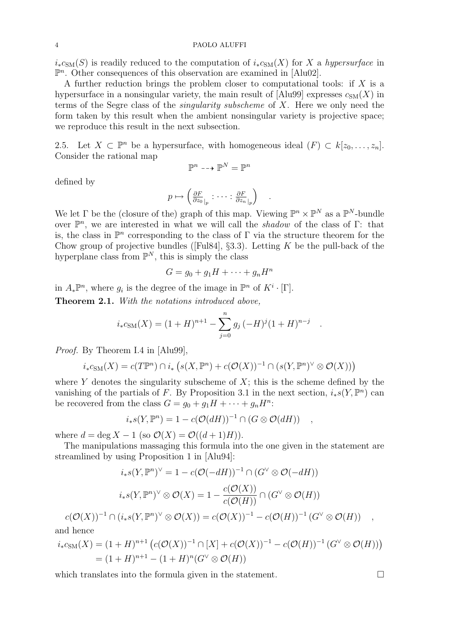#### 4 PAOLO ALUFFI

 $i_{*}c_{\text{SM}}(S)$  is readily reduced to the computation of  $i_{*}c_{\text{SM}}(X)$  for X a hypersurface in  $\mathbb{P}^n$ . Other consequences of this observation are examined in [Alu02].

A further reduction brings the problem closer to computational tools: if  $X$  is a hypersurface in a nonsingular variety, the main result of [Alu99] expresses  $c_{SM}(X)$  in terms of the Segre class of the singularity subscheme of X. Here we only need the form taken by this result when the ambient nonsingular variety is projective space; we reproduce this result in the next subsection.

2.5. Let  $X \subset \mathbb{P}^n$  be a hypersurface, with homogeneous ideal  $(F) \subset k[z_0, \ldots, z_n]$ . Consider the rational map

$$
\mathbb{P}^n \dashrightarrow \mathbb{P}^N = \mathbb{P}^n
$$

defined by

$$
p \mapsto \left(\frac{\partial F}{\partial z_0}\Big|_p : \cdots : \frac{\partial F}{\partial z_n}\Big|_p\right) \quad .
$$

We let  $\Gamma$  be the (closure of the) graph of this map. Viewing  $\mathbb{P}^n \times \mathbb{P}^N$  as a  $\mathbb{P}^N$ -bundle over  $\mathbb{P}^n$ , we are interested in what we will call the *shadow* of the class of  $\Gamma$ : that is, the class in  $\mathbb{P}^n$  corresponding to the class of  $\Gamma$  via the structure theorem for the Chow group of projective bundles ([Ful84], §3.3). Letting  $K$  be the pull-back of the hyperplane class from  $\mathbb{P}^N$ , this is simply the class

$$
G = g_0 + g_1 H + \dots + g_n H^n
$$

in  $A_*\mathbb{P}^n$ , where  $g_i$  is the degree of the image in  $\mathbb{P}^n$  of  $K^i \cdot [\Gamma]$ .

Theorem 2.1. With the notations introduced above,

$$
i_{*}c_{\text{SM}}(X) = (1+H)^{n+1} - \sum_{j=0}^{n} g_j (-H)^j (1+H)^{n-j}
$$

.

Proof. By Theorem I.4 in [Alu99],

$$
i_*c_{\text{SM}}(X) = c(T\mathbb{P}^n) \cap i_* \left( s(X, \mathbb{P}^n) + c(O(X))^{-1} \cap (s(Y, \mathbb{P}^n)^{\vee} \otimes O(X)) \right)
$$

where Y denotes the singularity subscheme of  $X$ ; this is the scheme defined by the vanishing of the partials of F. By Proposition 3.1 in the next section,  $i_*s(Y,\mathbb{P}^n)$  can be recovered from the class  $G = g_0 + g_1 H + \cdots + g_n H^n$ :

$$
i_*s(Y,\mathbb{P}^n) = 1 - c(\mathcal{O}(dH))^{-1} \cap (G \otimes \mathcal{O}(dH)) ,
$$

where  $d = \deg X - 1$  (so  $\mathcal{O}(X) = \mathcal{O}((d+1)H)$ ).

The manipulations massaging this formula into the one given in the statement are streamlined by using Proposition 1 in [Alu94]:

$$
i_*s(Y, \mathbb{P}^n)^{\vee} = 1 - c(\mathcal{O}(-dH))^{-1} \cap (G^{\vee} \otimes \mathcal{O}(-dH))
$$

$$
i_*s(Y, \mathbb{P}^n)^{\vee} \otimes \mathcal{O}(X) = 1 - \frac{c(\mathcal{O}(X))}{c(\mathcal{O}(H))} \cap (G^{\vee} \otimes \mathcal{O}(H))
$$

$$
c(\mathcal{O}(X))^{-1} \cap (i_*s(Y, \mathbb{P}^n)^{\vee} \otimes \mathcal{O}(X)) = c(\mathcal{O}(X))^{-1} - c(\mathcal{O}(H))^{-1} (G^{\vee} \otimes \mathcal{O}(H)) ,
$$

and hence

$$
i_*c_{\text{SM}}(X) = (1+H)^{n+1} \left( c(\mathcal{O}(X))^{-1} \cap [X] + c(\mathcal{O}(X))^{-1} - c(\mathcal{O}(H))^{-1} (G^{\vee} \otimes \mathcal{O}(H)) \right)
$$
  
=  $(1+H)^{n+1} - (1+H)^n (G^{\vee} \otimes \mathcal{O}(H))$ 

which translates into the formula given in the statement.  $\Box$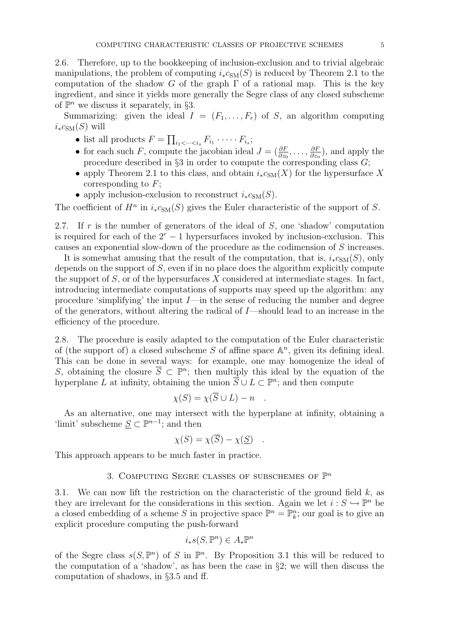2.6. Therefore, up to the bookkeeping of inclusion-exclusion and to trivial algebraic manipulations, the problem of computing  $i_{*}c_{SM}(S)$  is reduced by Theorem 2.1 to the computation of the shadow G of the graph  $\Gamma$  of a rational map. This is the key ingredient, and since it yields more generally the Segre class of any closed subscheme of  $\mathbb{P}^n$  we discuss it separately, in §3.

Summarizing: given the ideal  $I = (F_1, \ldots, F_r)$  of S, an algorithm computing  $i_*c_{\text{SM}}(S)$  will

- list all products  $F = \prod_{i_1 < \dots < i_s} F_{i_1} \cdot \dots \cdot F_{i_s};$
- for each such F, compute the jacobian ideal  $J = (\frac{\partial F}{\partial z_0}, \dots, \frac{\partial F}{\partial z_n})$  $\frac{\partial F}{\partial z_n}$ , and apply the procedure described in  $\S 3$  in order to compute the corresponding class  $G$ ;
- apply Theorem 2.1 to this class, and obtain  $i_*c_{SM}(X)$  for the hypersurface X corresponding to  $F$ ;
- apply inclusion-exclusion to reconstruct  $i_*c_{SM}(S)$ .

The coefficient of  $H^n$  in  $i_*c_{SM}(S)$  gives the Euler characteristic of the support of S.

2.7. If r is the number of generators of the ideal of  $S$ , one 'shadow' computation is required for each of the  $2<sup>r</sup> - 1$  hypersurfaces invoked by inclusion-exclusion. This causes an exponential slow-down of the procedure as the codimension of S increases.

It is somewhat amusing that the result of the computation, that is,  $i_*c_{\text{SM}}(S)$ , only depends on the support of  $S$ , even if in no place does the algorithm explicitly compute the support of  $S$ , or of the hypersurfaces  $X$  considered at intermediate stages. In fact, introducing intermediate computations of supports may speed up the algorithm: any procedure 'simplifying' the input  $I$ —in the sense of reducing the number and degree of the generators, without altering the radical of I—should lead to an increase in the efficiency of the procedure.

2.8. The procedure is easily adapted to the computation of the Euler characteristic of (the support of) a closed subscheme  $S$  of affine space  $\mathbb{A}^n$ , given its defining ideal. This can be done in several ways: for example, one may homogenize the ideal of S, obtaining the closure  $\overline{S} \subset \mathbb{P}^n$ ; then multiply this ideal by the equation of the hyperplane L at infinity, obtaining the union  $\overline{S} \cup L \subset \mathbb{P}^n$ ; and then compute

$$
\chi(S) = \chi(\overline{S} \cup L) - n \quad .
$$

As an alternative, one may intersect with the hyperplane at infinity, obtaining a 'limit' subscheme  $S \subset \mathbb{P}^{n-1}$ ; and then

$$
\chi(S) = \chi(\overline{S}) - \chi(\underline{S}) .
$$

This approach appears to be much faster in practice.

# 3. COMPUTING SEGRE CLASSES OF SUBSCHEMES OF  $\mathbb{P}^n$

3.1. We can now lift the restriction on the characteristic of the ground field  $k$ , as they are irrelevant for the considerations in this section. Again we let  $i : S \hookrightarrow \mathbb{P}^n$  be a closed embedding of a scheme S in projective space  $\mathbb{P}^n = \mathbb{P}_k^n$ ; our goal is to give an explicit procedure computing the push-forward

$$
i_*s(S,\mathbb{P}^n) \in A_*\mathbb{P}^n
$$

of the Segre class  $s(S, \mathbb{P}^n)$  of S in  $\mathbb{P}^n$ . By Proposition 3.1 this will be reduced to the computation of a 'shadow', as has been the case in §2; we will then discuss the computation of shadows, in §3.5 and ff.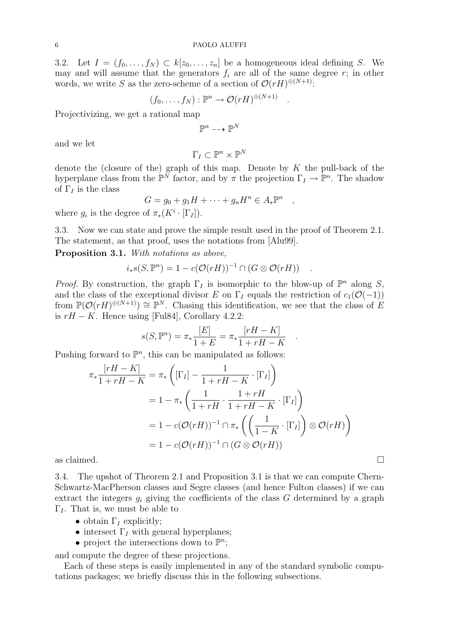3.2. Let  $I = (f_0, \ldots, f_N) \subset k[z_0, \ldots, z_n]$  be a homogeneous ideal defining S. We may and will assume that the generators  $f_i$  are all of the same degree r; in other words, we write S as the zero-scheme of a section of  $\mathcal{O}(rH)^{\oplus (N+1)}$ :

$$
(f_0,\ldots,f_N):{\mathbb P}^n\to {\mathcal O}(rH)^{\oplus (N+1)}
$$

.

,

.

Projectivizing, we get a rational map

$$
\mathbb{P}^n \dashrightarrow \mathbb{P}^N
$$

and we let

$$
\Gamma_I\subset\mathbb{P}^n\times\mathbb{P}^N
$$

denote the (closure of the) graph of this map. Denote by  $K$  the pull-back of the hyperplane class from the  $\mathbb{P}^{\tilde{N}}$  factor, and by  $\pi$  the projection  $\Gamma_I \to \mathbb{P}^n$ . The shadow of  $\Gamma_I$  is the class

$$
G = g_0 + g_1 H + \dots + g_n H^n \in A_* \mathbb{P}^n
$$

where  $g_i$  is the degree of  $\pi_*(K^i \cdot [\Gamma_I]).$ 

3.3. Now we can state and prove the simple result used in the proof of Theorem 2.1. The statement, as that proof, uses the notations from [Alu99].

Proposition 3.1. With notations as above,

$$
i_*s(S,\mathbb{P}^n) = 1 - c(\mathcal{O}(rH))^{-1} \cap (G \otimes \mathcal{O}(rH)) \quad .
$$

*Proof.* By construction, the graph  $\Gamma_I$  is isomorphic to the blow-up of  $\mathbb{P}^n$  along S, and the class of the exceptional divisor E on  $\Gamma_I$  equals the restriction of  $c_1(\mathcal{O}(-1))$ from  $\mathbb{P}(\mathcal{O}(rH)^{\oplus (N+1)}) \cong \mathbb{P}^N$ . Chasing this identification, we see that the class of E is  $rH - K$ . Hence using [Ful84], Corollary 4.2.2:

$$
s(S,\mathbb{P}^n)=\pi_*\frac{[E]}{1+E}=\pi_*\frac{[rH-K]}{1+rH-K}
$$

Pushing forward to  $\mathbb{P}^n$ , this can be manipulated as follows:

$$
\pi_* \frac{[rH - K]}{1 + rH - K} = \pi_* \left( [\Gamma_I] - \frac{1}{1 + rH - K} \cdot [\Gamma_I] \right)
$$
  
=  $1 - \pi_* \left( \frac{1}{1 + rH} \cdot \frac{1 + rH}{1 + rH - K} \cdot [\Gamma_I] \right)$   
=  $1 - c(\mathcal{O}(rH))^{-1} \cap \pi_* \left( \left( \frac{1}{1 - K} \cdot [\Gamma_I] \right) \otimes \mathcal{O}(rH) \right)$   
=  $1 - c(\mathcal{O}(rH))^{-1} \cap (G \otimes \mathcal{O}(rH))$ 

as claimed.  $\Box$ 

3.4. The upshot of Theorem 2.1 and Proposition 3.1 is that we can compute Chern-Schwartz-MacPherson classes and Segre classes (and hence Fulton classes) if we can extract the integers  $g_i$  giving the coefficients of the class G determined by a graph  $\Gamma_I$ . That is, we must be able to

- obtain  $\Gamma$ <sub>*I*</sub> explicitly;
- intersect  $\Gamma$ <sub>I</sub> with general hyperplanes;
- project the intersections down to  $\mathbb{P}^n$ ;

and compute the degree of these projections.

Each of these steps is easily implemented in any of the standard symbolic computations packages; we briefly discuss this in the following subsections.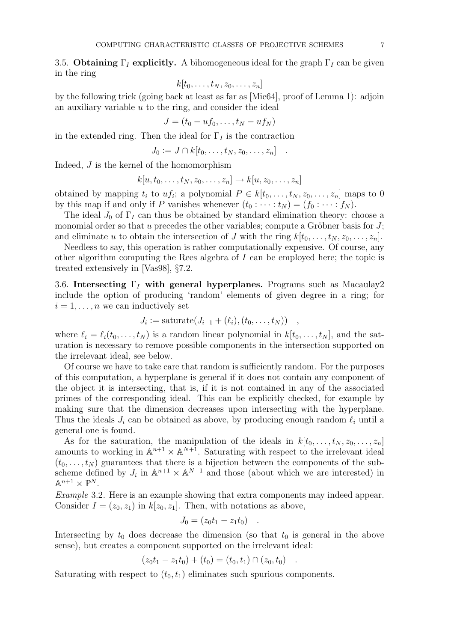3.5. Obtaining  $\Gamma_I$  explicitly. A bihomogeneous ideal for the graph  $\Gamma_I$  can be given in the ring

$$
k[t_0,\ldots,t_N,z_0,\ldots,z_n]
$$

by the following trick (going back at least as far as [Mic64], proof of Lemma 1): adjoin an auxiliary variable u to the ring, and consider the ideal

$$
J=(t_0-uf_0,\ldots,t_N-uf_N)
$$

in the extended ring. Then the ideal for  $\Gamma_I$  is the contraction

$$
J_0 := J \cap k[t_0, \ldots, t_N, z_0, \ldots, z_n] \quad .
$$

Indeed, J is the kernel of the homomorphism

$$
k[u, t_0, \ldots, t_N, z_0, \ldots, z_n] \to k[u, z_0, \ldots, z_n]
$$

obtained by mapping  $t_i$  to  $uf_i$ ; a polynomial  $P \in k[t_0, \ldots, t_N, z_0, \ldots, z_n]$  maps to 0 by this map if and only if P vanishes whenever  $(t_0 : \cdots : t_N) = (f_0 : \cdots : f_N)$ .

The ideal  $J_0$  of  $\Gamma_I$  can thus be obtained by standard elimination theory: choose a monomial order so that u precedes the other variables; compute a Gröbner basis for  $J$ ; and eliminate u to obtain the intersection of J with the ring  $k[t_0, \ldots, t_N, z_0, \ldots, z_n]$ .

Needless to say, this operation is rather computationally expensive. Of course, any other algorithm computing the Rees algebra of  $I$  can be employed here; the topic is treated extensively in [Vas98], §7.2.

3.6. Intersecting  $\Gamma_I$  with general hyperplanes. Programs such as Macaulay2 include the option of producing 'random' elements of given degree in a ring; for  $i = 1, \ldots, n$  we can inductively set

$$
J_i := \mathrm{saturate}(J_{i-1}+(\ell_i),(t_0,\ldots,t_N)) \quad ,
$$

where  $\ell_i = \ell_i(t_0, \ldots, t_N)$  is a random linear polynomial in  $k[t_0, \ldots, t_N]$ , and the saturation is necessary to remove possible components in the intersection supported on the irrelevant ideal, see below.

Of course we have to take care that random is sufficiently random. For the purposes of this computation, a hyperplane is general if it does not contain any component of the object it is intersecting, that is, if it is not contained in any of the associated primes of the corresponding ideal. This can be explicitly checked, for example by making sure that the dimension decreases upon intersecting with the hyperplane. Thus the ideals  $J_i$  can be obtained as above, by producing enough random  $\ell_i$  until a general one is found.

As for the saturation, the manipulation of the ideals in  $k[t_0, \ldots, t_N, z_0, \ldots, z_n]$ amounts to working in  $\mathbb{A}^{n+1} \times \mathbb{A}^{N+1}$ . Saturating with respect to the irrelevant ideal  $(t_0, \ldots, t_N)$  guarantees that there is a bijection between the components of the subscheme defined by  $J_i$  in  $\mathbb{A}^{n+1} \times \mathbb{A}^{N+1}$  and those (about which we are interested) in  $\mathbb{A}^{n+1} \times \mathbb{P}^N$ .

Example 3.2. Here is an example showing that extra components may indeed appear. Consider  $I = (z_0, z_1)$  in  $k[z_0, z_1]$ . Then, with notations as above,

$$
J_0 = (z_0 t_1 - z_1 t_0) \quad .
$$

Intersecting by  $t_0$  does decrease the dimension (so that  $t_0$  is general in the above sense), but creates a component supported on the irrelevant ideal:

$$
(z_0t_1 - z_1t_0) + (t_0) = (t_0, t_1) \cap (z_0, t_0) .
$$

Saturating with respect to  $(t_0, t_1)$  eliminates such spurious components.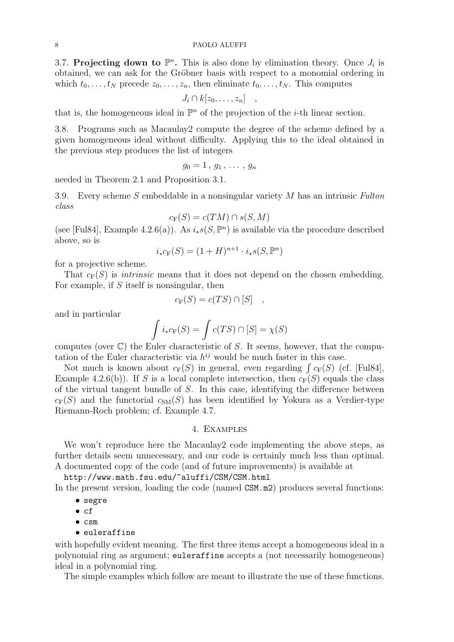3.7. Projecting down to  $\mathbb{P}^n$ . This is also done by elimination theory. Once  $J_i$  is obtained, we can ask for the Gröbner basis with respect to a monomial ordering in which  $t_0, \ldots, t_N$  precede  $z_0, \ldots, z_n$ , then eliminate  $t_0, \ldots, t_N$ . This computes

$$
J_i \cap k[z_0,\ldots,z_n] \quad ,
$$

that is, the homogeneous ideal in  $\mathbb{P}^n$  of the projection of the *i*-th linear section.

3.8. Programs such as Macaulay2 compute the degree of the scheme defined by a given homogeneous ideal without difficulty. Applying this to the ideal obtained in the previous step produces the list of integers

$$
g_0=1\,,\,g_1\,,\,\ldots\,,\,g_n
$$

needed in Theorem 2.1 and Proposition 3.1.

3.9. Every scheme S embeddable in a nonsingular variety M has an intrinsic Fulton class

$$
c_{\mathcal{F}}(S) = c(TM) \cap s(S, M)
$$

(see [Ful84], Example 4.2.6(a)). As  $i_*s(S,\mathbb{P}^n)$  is available via the procedure described above, so is

$$
i_*c_{\mathcal{F}}(S) = (1+H)^{n+1} \cdot i_*s(S, \mathbb{P}^n)
$$

for a projective scheme.

That  $c_F(S)$  is *intrinsic* means that it does not depend on the chosen embedding. For example, if  $S$  itself is nonsingular, then

$$
c_{\mathcal{F}}(S) = c(TS) \cap [S] ,
$$

and in particular

$$
\int i_*c_{\mathcal{F}}(S) = \int c(TS) \cap [S] = \chi(S)
$$

computes (over  $\mathbb{C}$ ) the Euler characteristic of S. It seems, however, that the computation of the Euler characteristic via  $h^{ij}$  would be much faster in this case.

Not much is known about  $c_F(S)$  in general, even regarding  $\int c_F(S)$  (cf. [Ful84], Example 4.2.6(b)). If S is a local complete intersection, then  $c_F(S)$  equals the class of the virtual tangent bundle of S. In this case, identifying the difference between  $c_F(S)$  and the functorial  $c_{SM}(S)$  has been identified by Yokura as a Verdier-type Riemann-Roch problem; cf. Example 4.7.

## 4. Examples

We won't reproduce here the Macaulay2 code implementing the above steps, as further details seem unnecessary, and our code is certainly much less than optimal. A documented copy of the code (and of future improvements) is available at

http://www.math.fsu.edu/~aluffi/CSM/CSM.html In the present version, loading the code (named  $CSM.m2$ ) produces several functions:

- segre
- cf
- csm
- euleraffine

with hopefully evident meaning. The first three items accept a homogeneous ideal in a polynomial ring as argument; euleraffine accepts a (not necessarily homogeneous) ideal in a polynomial ring.

The simple examples which follow are meant to illustrate the use of these functions.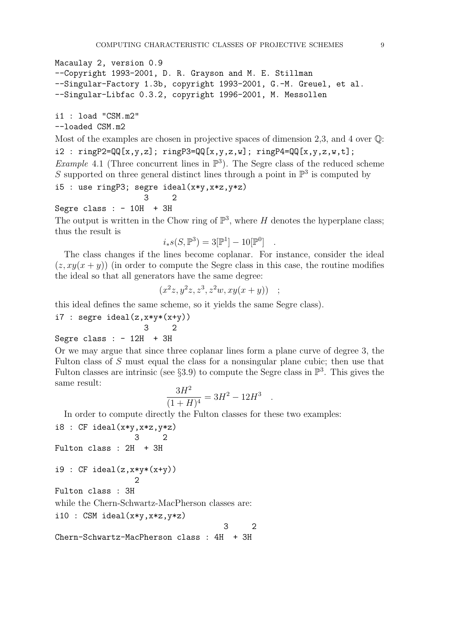```
Macaulay 2, version 0.9
--Copyright 1993-2001, D. R. Grayson and M. E. Stillman
--Singular-Factory 1.3b, copyright 1993-2001, G.-M. Greuel, et al.
--Singular-Libfac 0.3.2, copyright 1996-2001, M. Messollen
```
i1 : load "CSM.m2" --loaded CSM.m2

Most of the examples are chosen in projective spaces of dimension 2,3, and 4 over  $\mathbb{Q}$ :  $i2 : ringP2 = QQ[x, y, z]; ringP3 = QQ[x, y, z, w]; ringP4 = QQ[x, y, z, w, t];$ *Example* 4.1 (Three concurrent lines in  $\mathbb{P}^3$ ). The Segre class of the reduced scheme S supported on three general distinct lines through a point in  $\mathbb{P}^3$  is computed by

$$
i5: use ringP3; segre ideal(x*y, x*z, y*z)
$$

3 2 Segre class :  $-10H + 3H$ 

The output is written in the Chow ring of  $\mathbb{P}^3$ , where H denotes the hyperplane class; thus the result is

$$
i_*s(S, \mathbb{P}^3) = 3[\mathbb{P}^1] - 10[\mathbb{P}^0]
$$
.

The class changes if the lines become coplanar. For instance, consider the ideal  $(z, xy(x + y))$  (in order to compute the Segre class in this case, the routine modifies the ideal so that all generators have the same degree:

$$
(x^2z, y^2z, z^3, z^2w, xy(x+y)) ;
$$

this ideal defines the same scheme, so it yields the same Segre class).

i7 : segre ideal $(z, x*y*(x+y))$ 

3 2 Segre class :  $-12H + 3H$ 

Or we may argue that since three coplanar lines form a plane curve of degree 3, the Fulton class of S must equal the class for a nonsingular plane cubic; then use that Fulton classes are intrinsic (see §3.9) to compute the Segre class in  $\mathbb{P}^3$ . This gives the same result:

$$
\frac{3H^2}{(1+H)^4} = 3H^2 - 12H^3
$$

.

In order to compute directly the Fulton classes for these two examples:

i8 : CF ideal(x\*y,x\*z,y\*z) 3 2 Fulton class : 2H + 3H i9 : CF ideal(z,x\*y\*(x+y)) 2 Fulton class : 3H while the Chern-Schwartz-MacPherson classes are: i10 : CSM ideal(x\*y,x\*z,y\*z) 3 2

Chern-Schwartz-MacPherson class : 4H + 3H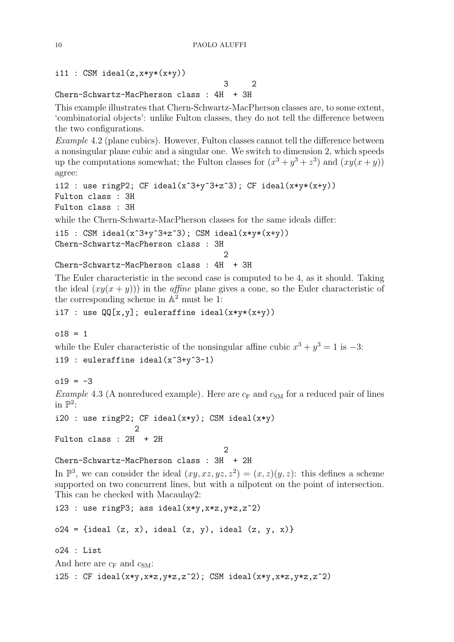# i11 : CSM ideal $(z, x*y*(x+y))$

3 2 Chern-Schwartz-MacPherson class : 4H + 3H

This example illustrates that Chern-Schwartz-MacPherson classes are, to some extent, 'combinatorial objects': unlike Fulton classes, they do not tell the difference between the two configurations.

Example 4.2 (plane cubics). However, Fulton classes cannot tell the difference between a nonsingular plane cubic and a singular one. We switch to dimension 2, which speeds up the computations somewhat; the Fulton classes for  $(x^3 + y^3 + z^3)$  and  $(xy(x + y))$ agree:

```
i12 : use ringP2; CF ideal(x^3+y^3+z^3); CF ideal(x*y*(x+y))
Fulton class : 3H
Fulton class : 3H
```
while the Chern-Schwartz-MacPherson classes for the same ideals differ:

i15 : CSM ideal(x<sup> $\text{3+y}$  $\text{3+z}$  $\text{3})$ ; CSM ideal(x\*y\*(x+y))</sup> Chern-Schwartz-MacPherson class : 3H  $\mathcal{D}$ Chern-Schwartz-MacPherson class : 4H + 3H

The Euler characteristic in the second case is computed to be 4, as it should. Taking the ideal  $(xy(x + y))$  in the *affine* plane gives a cone, so the Euler characteristic of the corresponding scheme in  $\mathbb{A}^2$  must be 1:

i17 : use  $QQ[x,y]$ ; euleraffine ideal( $x*y*(x+y)$ )

 $018 = 1$ 

while the Euler characteristic of the nonsingular affine cubic  $x^3 + y^3 = 1$  is  $-3$ : i19 : euleraffine ideal(x^3+y^3-1)

 $019 = -3$ 

*Example* 4.3 (A nonreduced example). Here are  $c_F$  and  $c_{SM}$  for a reduced pair of lines in  $\mathbb{P}^2$ :

```
i20 : use ringP2; CF ideal(x*y); CSM ideal(x*y)
                   \mathcal{D}Fulton class : 2H + 2H
```

```
2
```
Chern-Schwartz-MacPherson class : 3H + 2H

In  $\mathbb{P}^3$ , we can consider the ideal  $(xy, xz, yz, z^2) = (x, z)(y, z)$ : this defines a scheme supported on two concurrent lines, but with a nilpotent on the point of intersection. This can be checked with Macaulay2:

i23 : use ringP3; ass ideal( $x*y, x*z, y*z, z^2)$ 

 $o24 = \{ideal (z, x), ideal (z, y), ideal (z, y, x)\}$ 

o24 : List

And here are  $c_F$  and  $c_{SM}$ :

i25 : CF ideal(x\*y,x\*z,y\*z,z^2); CSM ideal(x\*y,x\*z,y\*z,z^2)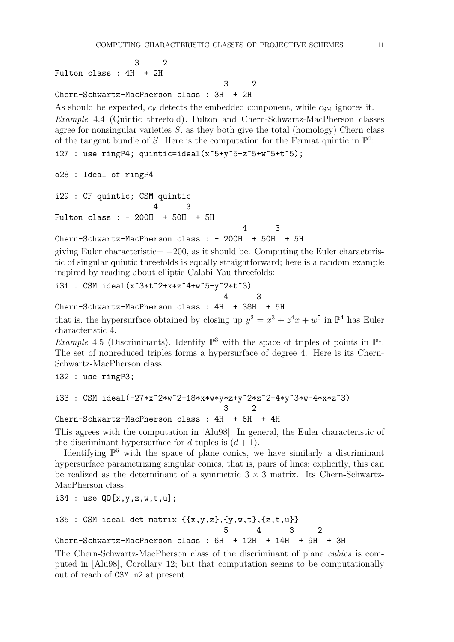3 2

3 2 Fulton class : 4H + 2H

Chern-Schwartz-MacPherson class : 3H + 2H

As should be expected,  $c_F$  detects the embedded component, while  $c_{SM}$  ignores it. Example 4.4 (Quintic threefold). Fulton and Chern-Schwartz-MacPherson classes agree for nonsingular varieties  $S$ , as they both give the total (homology) Chern class of the tangent bundle of S. Here is the computation for the Fermat quintic in  $\mathbb{P}^4$ : i27 : use ring P4; quintic=ideal( $x$ <sup>-5+y</sup> $5+x$ <sup>-5+w</sup> $5+x$ <sup>-5</sup>);

o28 : Ideal of ringP4

i29 : CF quintic; CSM quintic 4 3 Fulton class : - 200H + 50H + 5H 4 3

 $Chern-Schwartz-MacPherson \; class : -200H + 50H + 5H$ 

giving Euler characteristic=  $-200$ , as it should be. Computing the Euler characteristic of singular quintic threefolds is equally straightforward; here is a random example inspired by reading about elliptic Calabi-Yau threefolds:

i31 : CSM ideal(x^3\*t^2+x\*z^4+w^5-y^2\*t^3)

4 3

Chern-Schwartz-MacPherson class : 4H + 38H + 5H

that is, the hypersurface obtained by closing up  $y^2 = x^3 + z^4x + w^5$  in  $\mathbb{P}^4$  has Euler characteristic 4.

*Example* 4.5 (Discriminants). Identify  $\mathbb{P}^3$  with the space of triples of points in  $\mathbb{P}^1$ . The set of nonreduced triples forms a hypersurface of degree 4. Here is its Chern-Schwartz-MacPherson class:

i32 : use ringP3;

```
i33 : CSM ideal(-27*x^2*w^2+18*x*w*y*z+y^2*z^2-4*y^3*w-4*x*z^3)
                                  3 2
```
Chern-Schwartz-MacPherson class : 4H + 6H + 4H

This agrees with the computation in [Alu98]. In general, the Euler characteristic of the discriminant hypersurface for d-tuples is  $(d+1)$ .

Identifying  $\mathbb{P}^5$  with the space of plane conics, we have similarly a discriminant hypersurface parametrizing singular conics, that is, pairs of lines; explicitly, this can be realized as the determinant of a symmetric  $3 \times 3$  matrix. Its Chern-Schwartz-MacPherson class:

i34 : use  $QQ[x,y,z,w,t,u]$ ;

i35 : CSM ideal det matrix 
$$
\{\{x,y,z\},\{y,w,t\},\{z,t,u\}\}\
$$
  
5 4 3 2

Chern-Schwartz-MacPherson class : 6H + 12H + 14H + 9H + 3H

The Chern-Schwartz-MacPherson class of the discriminant of plane cubics is computed in [Alu98], Corollary 12; but that computation seems to be computationally out of reach of CSM.m2 at present.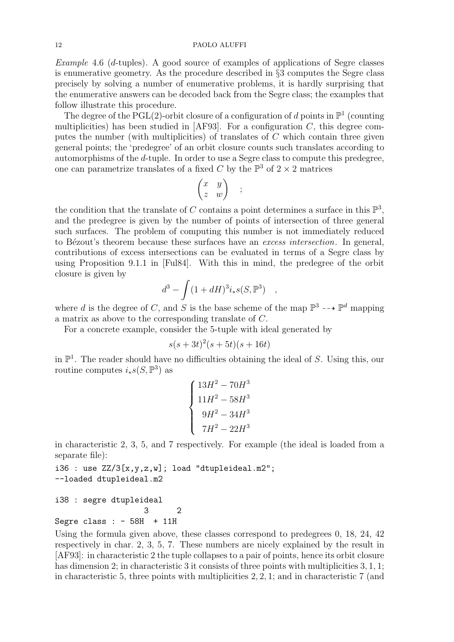Example 4.6 (d-tuples). A good source of examples of applications of Segre classes is enumerative geometry. As the procedure described in §3 computes the Segre class precisely by solving a number of enumerative problems, it is hardly surprising that the enumerative answers can be decoded back from the Segre class; the examples that follow illustrate this procedure.

The degree of the PGL(2)-orbit closure of a configuration of d points in  $\mathbb{P}^1$  (counting multiplicities) has been studied in [AF93]. For a configuration  $C$ , this degree computes the number (with multiplicities) of translates of  $C$  which contain three given general points; the 'predegree' of an orbit closure counts such translates according to automorphisms of the d-tuple. In order to use a Segre class to compute this predegree, one can parametrize translates of a fixed C by the  $\mathbb{P}^3$  of  $2 \times 2$  matrices

$$
\begin{pmatrix} x & y \\ z & w \end{pmatrix} ;
$$

the condition that the translate of C contains a point determines a surface in this  $\mathbb{P}^3$ , and the predegree is given by the number of points of intersection of three general such surfaces. The problem of computing this number is not immediately reduced to Bézout's theorem because these surfaces have an excess intersection. In general, contributions of excess intersections can be evaluated in terms of a Segre class by using Proposition 9.1.1 in [Ful84]. With this in mind, the predegree of the orbit closure is given by

$$
d^3 - \int (1 + dH)^3 i_* s(S, \mathbb{P}^3) ,
$$

where d is the degree of C, and S is the base scheme of the map  $\mathbb{P}^3 \dashrightarrow \mathbb{P}^d$  mapping a matrix as above to the corresponding translate of C.

For a concrete example, consider the 5-tuple with ideal generated by

$$
s(s+3t)^2(s+5t)(s+16t)
$$

in  $\mathbb{P}^1$ . The reader should have no difficulties obtaining the ideal of S. Using this, our routine computes  $i_*s(S,\mathbb{P}^3)$  as

$$
\begin{cases}\n13H^2 - 70H^3 \\
11H^2 - 58H^3 \\
9H^2 - 34H^3 \\
7H^2 - 22H^3\n\end{cases}
$$

in characteristic 2, 3, 5, and 7 respectively. For example (the ideal is loaded from a separate file):

i36 : use  $ZZ/3[x,y,z,w]$ ; load "dtupleideal.m2"; --loaded dtupleideal.m2

i38 : segre dtupleideal 3 2 Segre class :  $-58H + 11H$ 

Using the formula given above, these classes correspond to predegrees 0, 18, 24, 42 respectively in char. 2, 3, 5, 7. These numbers are nicely explained by the result in [AF93]: in characteristic 2 the tuple collapses to a pair of points, hence its orbit closure has dimension 2; in characteristic 3 it consists of three points with multiplicities 3, 1, 1; in characteristic 5, three points with multiplicities 2, 2, 1; and in characteristic 7 (and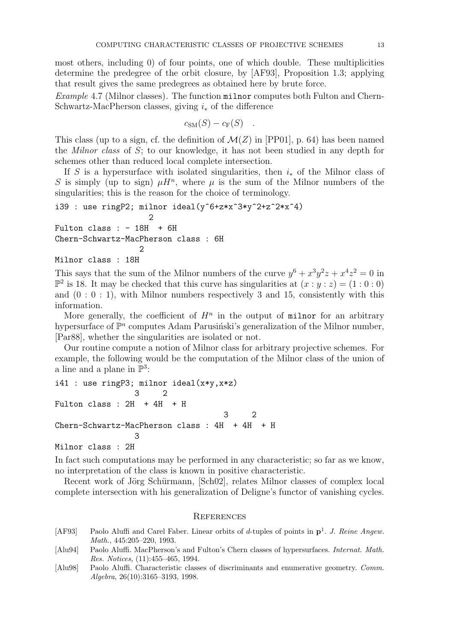most others, including 0) of four points, one of which double. These multiplicities determine the predegree of the orbit closure, by [AF93], Proposition 1.3; applying that result gives the same predegrees as obtained here by brute force.

Example 4.7 (Milnor classes). The function milnor computes both Fulton and Chern-Schwartz-MacPherson classes, giving  $i_*$  of the difference

$$
c_{\rm SM}(S)-c_{\rm F}(S) .
$$

This class (up to a sign, cf. the definition of  $\mathcal{M}(Z)$  in [PP01], p. 64) has been named the *Milnor class* of  $S$ ; to our knowledge, it has not been studied in any depth for schemes other than reduced local complete intersection.

If S is a hypersurface with isolated singularities, then  $i_{\ast}$  of the Milnor class of S is simply (up to sign)  $\mu H^n$ , where  $\mu$  is the sum of the Milnor numbers of the singularities; this is the reason for the choice of terminology.

```
i39 : use ringP2; milnor ideal(y^6+z*x^3*y^2+z^2*x^4)
                    2
Fulton class : - 18H + 6H
Chern-Schwartz-MacPherson class : 6H
                  2
```
Milnor class : 18H

This says that the sum of the Milnor numbers of the curve  $y^6 + x^3y^2z + x^4z^2 = 0$  in  $\mathbb{P}^2$  is 18. It may be checked that this curve has singularities at  $(x:y:z) = (1:0:0)$ and  $(0:0:1)$ , with Milnor numbers respectively 3 and 15, consistently with this information.

More generally, the coefficient of  $H^n$  in the output of milnor for an arbitrary hypersurface of  $\mathbb{P}^n$  computes Adam Parusiński's generalization of the Milnor number, [Par88], whether the singularities are isolated or not.

Our routine compute a notion of Milnor class for arbitrary projective schemes. For example, the following would be the computation of the Milnor class of the union of a line and a plane in  $\mathbb{P}^3$ :

i41 : use ringP3; milnor ideal(x\*y,x\*z) 3 2 Fulton class : 2H + 4H + H 3 2 Chern-Schwartz-MacPherson class : 4H + 4H + H 3 Milnor class : 2H

In fact such computations may be performed in any characteristic; so far as we know, no interpretation of the class is known in positive characteristic.

Recent work of Jörg Schürmann, [Sch02], relates Milnor classes of complex local complete intersection with his generalization of Deligne's functor of vanishing cycles.

### **REFERENCES**

- [AF93] Paolo Aluffi and Carel Faber. Linear orbits of d-tuples of points in  $p^1$ . J. Reine Angew. Math., 445:205–220, 1993.
- [Alu94] Paolo Aluffi. MacPherson's and Fulton's Chern classes of hypersurfaces. Internat. Math. Res. Notices, (11):455–465, 1994.
- [Alu98] Paolo Aluffi. Characteristic classes of discriminants and enumerative geometry. Comm. Algebra, 26(10):3165–3193, 1998.